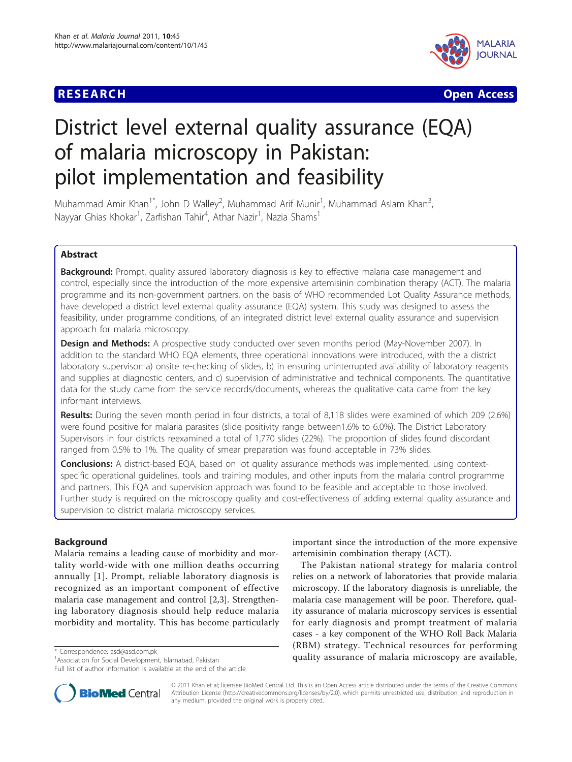



# District level external quality assurance (EQA) of malaria microscopy in Pakistan: pilot implementation and feasibility

Muhammad Amir Khan<sup>1\*</sup>, John D Walley<sup>2</sup>, Muhammad Arif Munir<sup>1</sup>, Muhammad Aslam Khan<sup>3</sup> , Nayyar Ghias Khokar<sup>1</sup>, Zarfishan Tahir<sup>4</sup>, Athar Nazir<sup>1</sup>, Nazia Shams<sup>1</sup>

# Abstract

**Background:** Prompt, quality assured laboratory diagnosis is key to effective malaria case management and control, especially since the introduction of the more expensive artemisinin combination therapy (ACT). The malaria programme and its non-government partners, on the basis of WHO recommended Lot Quality Assurance methods, have developed a district level external quality assurance (EQA) system. This study was designed to assess the feasibility, under programme conditions, of an integrated district level external quality assurance and supervision approach for malaria microscopy.

Design and Methods: A prospective study conducted over seven months period (May-November 2007). In addition to the standard WHO EQA elements, three operational innovations were introduced, with the a district laboratory supervisor: a) onsite re-checking of slides, b) in ensuring uninterrupted availability of laboratory reagents and supplies at diagnostic centers, and c) supervision of administrative and technical components. The quantitative data for the study came from the service records/documents, whereas the qualitative data came from the key informant interviews.

Results: During the seven month period in four districts, a total of 8,118 slides were examined of which 209 (2.6%) were found positive for malaria parasites (slide positivity range between1.6% to 6.0%). The District Laboratory Supervisors in four districts reexamined a total of 1,770 slides (22%). The proportion of slides found discordant ranged from 0.5% to 1%. The quality of smear preparation was found acceptable in 73% slides.

**Conclusions:** A district-based EQA, based on lot quality assurance methods was implemented, using contextspecific operational guidelines, tools and training modules, and other inputs from the malaria control programme and partners. This EQA and supervision approach was found to be feasible and acceptable to those involved. Further study is required on the microscopy quality and cost-effectiveness of adding external quality assurance and supervision to district malaria microscopy services.

# Background

Malaria remains a leading cause of morbidity and mortality world-wide with one million deaths occurring annually [[1](#page-6-0)]. Prompt, reliable laboratory diagnosis is recognized as an important component of effective malaria case management and control [\[2,3](#page-6-0)]. Strengthening laboratory diagnosis should help reduce malaria morbidity and mortality. This has become particularly

Full list of author information is available at the end of the article

important since the introduction of the more expensive artemisinin combination therapy (ACT).

The Pakistan national strategy for malaria control relies on a network of laboratories that provide malaria microscopy. If the laboratory diagnosis is unreliable, the malaria case management will be poor. Therefore, quality assurance of malaria microscopy services is essential for early diagnosis and prompt treatment of malaria cases - a key component of the WHO Roll Back Malaria (RBM) strategy. Technical resources for performing \* Correspondence: [asd@asd.com.pk](mailto:asd@asd.com.pk)<br>
<sup>1</sup>Association for Social Development Islamabad, Pakistan **quality assurance of malaria microscopy are available,** 



© 2011 Khan et al; licensee BioMed Central Ltd. This is an Open Access article distributed under the terms of the Creative Commons Attribution License [\(http://creativecommons.org/licenses/by/2.0](http://creativecommons.org/licenses/by/2.0)), which permits unrestricted use, distribution, and reproduction in any medium, provided the original work is properly cited.

<sup>&</sup>lt;sup>1</sup> Association for Social Development, Islamabad, Pakistan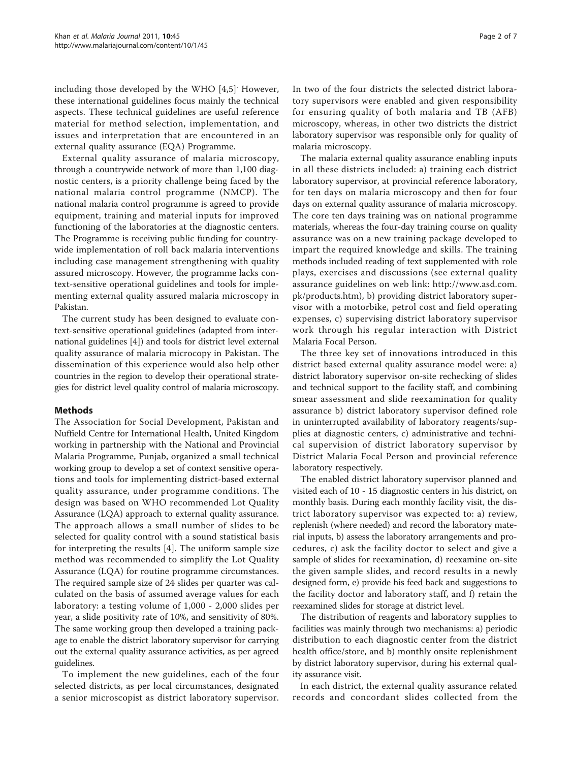including those developed by the WHO  $[4,5]$  $[4,5]$  $[4,5]$ . However, these international guidelines focus mainly the technical aspects. These technical guidelines are useful reference material for method selection, implementation, and issues and interpretation that are encountered in an external quality assurance (EQA) Programme.

External quality assurance of malaria microscopy, through a countrywide network of more than 1,100 diagnostic centers, is a priority challenge being faced by the national malaria control programme (NMCP). The national malaria control programme is agreed to provide equipment, training and material inputs for improved functioning of the laboratories at the diagnostic centers. The Programme is receiving public funding for countrywide implementation of roll back malaria interventions including case management strengthening with quality assured microscopy. However, the programme lacks context-sensitive operational guidelines and tools for implementing external quality assured malaria microscopy in Pakistan.

The current study has been designed to evaluate context-sensitive operational guidelines (adapted from international guidelines [\[4](#page-6-0)]) and tools for district level external quality assurance of malaria microcopy in Pakistan. The dissemination of this experience would also help other countries in the region to develop their operational strategies for district level quality control of malaria microscopy.

# Methods

The Association for Social Development, Pakistan and Nuffield Centre for International Health, United Kingdom working in partnership with the National and Provincial Malaria Programme, Punjab, organized a small technical working group to develop a set of context sensitive operations and tools for implementing district-based external quality assurance, under programme conditions. The design was based on WHO recommended Lot Quality Assurance (LQA) approach to external quality assurance. The approach allows a small number of slides to be selected for quality control with a sound statistical basis for interpreting the results [[4\]](#page-6-0). The uniform sample size method was recommended to simplify the Lot Quality Assurance (LQA) for routine programme circumstances. The required sample size of 24 slides per quarter was calculated on the basis of assumed average values for each laboratory: a testing volume of 1,000 - 2,000 slides per year, a slide positivity rate of 10%, and sensitivity of 80%. The same working group then developed a training package to enable the district laboratory supervisor for carrying out the external quality assurance activities, as per agreed guidelines.

To implement the new guidelines, each of the four selected districts, as per local circumstances, designated a senior microscopist as district laboratory supervisor. In two of the four districts the selected district laboratory supervisors were enabled and given responsibility for ensuring quality of both malaria and TB (AFB) microscopy, whereas, in other two districts the district laboratory supervisor was responsible only for quality of malaria microscopy.

The malaria external quality assurance enabling inputs in all these districts included: a) training each district laboratory supervisor, at provincial reference laboratory, for ten days on malaria microscopy and then for four days on external quality assurance of malaria microscopy. The core ten days training was on national programme materials, whereas the four-day training course on quality assurance was on a new training package developed to impart the required knowledge and skills. The training methods included reading of text supplemented with role plays, exercises and discussions (see external quality assurance guidelines on web link: [http://www.asd.com.](http://www.asd.com.pk/products.htm) [pk/products.htm\)](http://www.asd.com.pk/products.htm), b) providing district laboratory supervisor with a motorbike, petrol cost and field operating expenses, c) supervising district laboratory supervisor work through his regular interaction with District Malaria Focal Person.

The three key set of innovations introduced in this district based external quality assurance model were: a) district laboratory supervisor on-site rechecking of slides and technical support to the facility staff, and combining smear assessment and slide reexamination for quality assurance b) district laboratory supervisor defined role in uninterrupted availability of laboratory reagents/supplies at diagnostic centers, c) administrative and technical supervision of district laboratory supervisor by District Malaria Focal Person and provincial reference laboratory respectively.

The enabled district laboratory supervisor planned and visited each of 10 - 15 diagnostic centers in his district, on monthly basis. During each monthly facility visit, the district laboratory supervisor was expected to: a) review, replenish (where needed) and record the laboratory material inputs, b) assess the laboratory arrangements and procedures, c) ask the facility doctor to select and give a sample of slides for reexamination, d) reexamine on-site the given sample slides, and record results in a newly designed form, e) provide his feed back and suggestions to the facility doctor and laboratory staff, and f) retain the reexamined slides for storage at district level.

The distribution of reagents and laboratory supplies to facilities was mainly through two mechanisms: a) periodic distribution to each diagnostic center from the district health office/store, and b) monthly onsite replenishment by district laboratory supervisor, during his external quality assurance visit.

In each district, the external quality assurance related records and concordant slides collected from the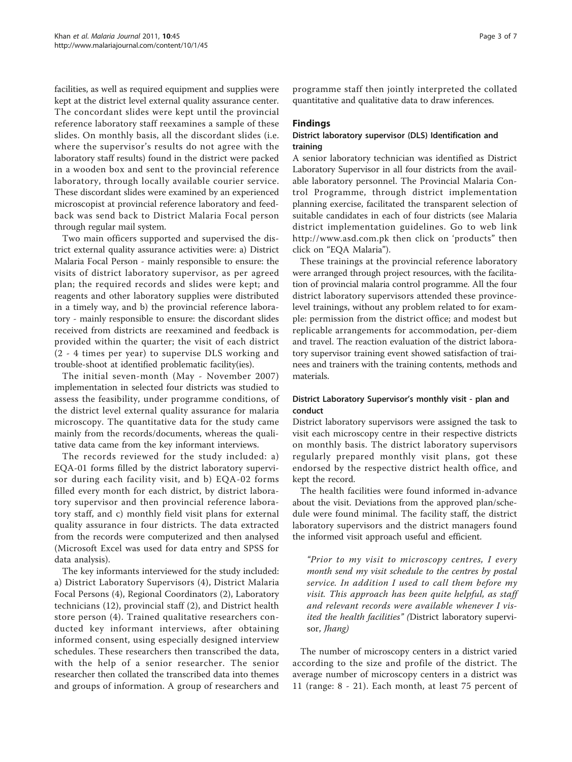facilities, as well as required equipment and supplies were kept at the district level external quality assurance center. The concordant slides were kept until the provincial reference laboratory staff reexamines a sample of these slides. On monthly basis, all the discordant slides (i.e. where the supervisor's results do not agree with the laboratory staff results) found in the district were packed in a wooden box and sent to the provincial reference laboratory, through locally available courier service. These discordant slides were examined by an experienced microscopist at provincial reference laboratory and feedback was send back to District Malaria Focal person through regular mail system.

Two main officers supported and supervised the district external quality assurance activities were: a) District Malaria Focal Person - mainly responsible to ensure: the visits of district laboratory supervisor, as per agreed plan; the required records and slides were kept; and reagents and other laboratory supplies were distributed in a timely way, and b) the provincial reference laboratory - mainly responsible to ensure: the discordant slides received from districts are reexamined and feedback is provided within the quarter; the visit of each district (2 - 4 times per year) to supervise DLS working and trouble-shoot at identified problematic facility(ies).

The initial seven-month (May - November 2007) implementation in selected four districts was studied to assess the feasibility, under programme conditions, of the district level external quality assurance for malaria microscopy. The quantitative data for the study came mainly from the records/documents, whereas the qualitative data came from the key informant interviews.

The records reviewed for the study included: a) EQA-01 forms filled by the district laboratory supervisor during each facility visit, and b) EQA-02 forms filled every month for each district, by district laboratory supervisor and then provincial reference laboratory staff, and c) monthly field visit plans for external quality assurance in four districts. The data extracted from the records were computerized and then analysed (Microsoft Excel was used for data entry and SPSS for data analysis).

The key informants interviewed for the study included: a) District Laboratory Supervisors (4), District Malaria Focal Persons (4), Regional Coordinators (2), Laboratory technicians (12), provincial staff (2), and District health store person (4). Trained qualitative researchers conducted key informant interviews, after obtaining informed consent, using especially designed interview schedules. These researchers then transcribed the data, with the help of a senior researcher. The senior researcher then collated the transcribed data into themes and groups of information. A group of researchers and

programme staff then jointly interpreted the collated quantitative and qualitative data to draw inferences.

### Findings

# District laboratory supervisor (DLS) Identification and training

A senior laboratory technician was identified as District Laboratory Supervisor in all four districts from the available laboratory personnel. The Provincial Malaria Control Programme, through district implementation planning exercise, facilitated the transparent selection of suitable candidates in each of four districts (see Malaria district implementation guidelines. Go to web link <http://www.asd.com.pk> then click on 'products" then click on "EQA Malaria").

These trainings at the provincial reference laboratory were arranged through project resources, with the facilitation of provincial malaria control programme. All the four district laboratory supervisors attended these provincelevel trainings, without any problem related to for example: permission from the district office; and modest but replicable arrangements for accommodation, per-diem and travel. The reaction evaluation of the district laboratory supervisor training event showed satisfaction of trainees and trainers with the training contents, methods and materials.

# District Laboratory Supervisor's monthly visit - plan and conduct

District laboratory supervisors were assigned the task to visit each microscopy centre in their respective districts on monthly basis. The district laboratory supervisors regularly prepared monthly visit plans, got these endorsed by the respective district health office, and kept the record.

The health facilities were found informed in-advance about the visit. Deviations from the approved plan/schedule were found minimal. The facility staff, the district laboratory supervisors and the district managers found the informed visit approach useful and efficient.

"Prior to my visit to microscopy centres, I every month send my visit schedule to the centres by postal service. In addition I used to call them before my visit. This approach has been quite helpful, as staff and relevant records were available whenever I visited the health facilities" (District laboratory supervisor, Jhang)

The number of microscopy centers in a district varied according to the size and profile of the district. The average number of microscopy centers in a district was 11 (range: 8 - 21). Each month, at least 75 percent of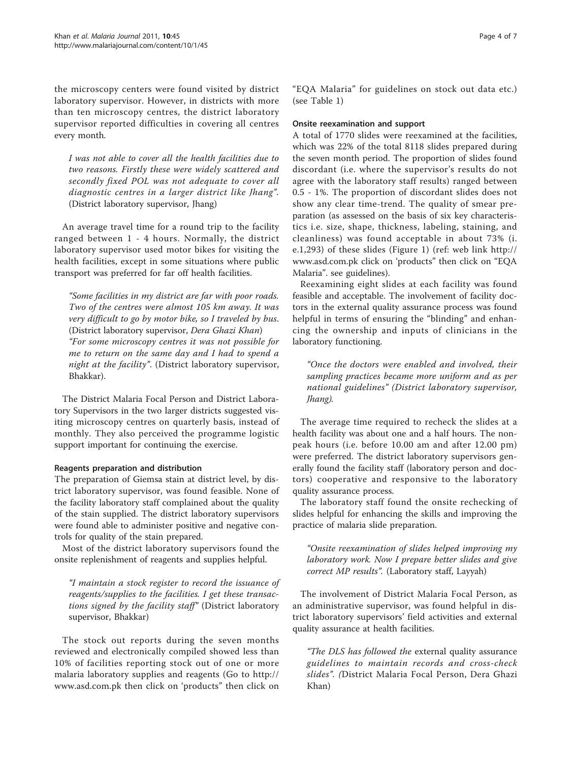the microscopy centers were found visited by district laboratory supervisor. However, in districts with more than ten microscopy centres, the district laboratory supervisor reported difficulties in covering all centres every month.

I was not able to cover all the health facilities due to two reasons. Firstly these were widely scattered and secondly fixed POL was not adequate to cover all diagnostic centres in a larger district like Jhang". (District laboratory supervisor, Jhang)

An average travel time for a round trip to the facility ranged between 1 - 4 hours. Normally, the district laboratory supervisor used motor bikes for visiting the health facilities, except in some situations where public transport was preferred for far off health facilities.

"Some facilities in my district are far with poor roads. Two of the centres were almost 105 km away. It was very difficult to go by motor bike, so I traveled by bus. (District laboratory supervisor, Dera Ghazi Khan) "For some microscopy centres it was not possible for me to return on the same day and I had to spend a night at the facility". (District laboratory supervisor, Bhakkar).

The District Malaria Focal Person and District Laboratory Supervisors in the two larger districts suggested visiting microscopy centres on quarterly basis, instead of monthly. They also perceived the programme logistic support important for continuing the exercise.

# Reagents preparation and distribution

The preparation of Giemsa stain at district level, by district laboratory supervisor, was found feasible. None of the facility laboratory staff complained about the quality of the stain supplied. The district laboratory supervisors were found able to administer positive and negative controls for quality of the stain prepared.

Most of the district laboratory supervisors found the onsite replenishment of reagents and supplies helpful.

"I maintain a stock register to record the issuance of reagents/supplies to the facilities. I get these transactions signed by the facility staff" (District laboratory supervisor, Bhakkar)

The stock out reports during the seven months reviewed and electronically compiled showed less than 10% of facilities reporting stock out of one or more malaria laboratory supplies and reagents (Go to [http://](http://www.asd.com.pk) [www.asd.com.pk](http://www.asd.com.pk) then click on 'products" then click on

"EQA Malaria" for guidelines on stock out data etc.) (see Table [1\)](#page-4-0)

#### Onsite reexamination and support

A total of 1770 slides were reexamined at the facilities, which was 22% of the total 8118 slides prepared during the seven month period. The proportion of slides found discordant (i.e. where the supervisor's results do not agree with the laboratory staff results) ranged between 0.5 - 1%. The proportion of discordant slides does not show any clear time-trend. The quality of smear preparation (as assessed on the basis of six key characteristics i.e. size, shape, thickness, labeling, staining, and cleanliness) was found acceptable in about 73% (i. e.1,293) of these slides (Figure [1\)](#page-4-0) (ref: web link [http://](http://www.asd.com.pk) [www.asd.com.pk](http://www.asd.com.pk) click on 'products" then click on "EQA Malaria". see guidelines).

Reexamining eight slides at each facility was found feasible and acceptable. The involvement of facility doctors in the external quality assurance process was found helpful in terms of ensuring the "blinding" and enhancing the ownership and inputs of clinicians in the laboratory functioning.

"Once the doctors were enabled and involved, their sampling practices became more uniform and as per national guidelines" (District laboratory supervisor, Jhang).

The average time required to recheck the slides at a health facility was about one and a half hours. The nonpeak hours (i.e. before 10.00 am and after 12.00 pm) were preferred. The district laboratory supervisors generally found the facility staff (laboratory person and doctors) cooperative and responsive to the laboratory quality assurance process.

The laboratory staff found the onsite rechecking of slides helpful for enhancing the skills and improving the practice of malaria slide preparation.

"Onsite reexamination of slides helped improving my laboratory work. Now I prepare better slides and give correct MP results". (Laboratory staff, Layyah)

The involvement of District Malaria Focal Person, as an administrative supervisor, was found helpful in district laboratory supervisors' field activities and external quality assurance at health facilities.

"The DLS has followed the external quality assurance guidelines to maintain records and cross-check slides". (District Malaria Focal Person, Dera Ghazi Khan)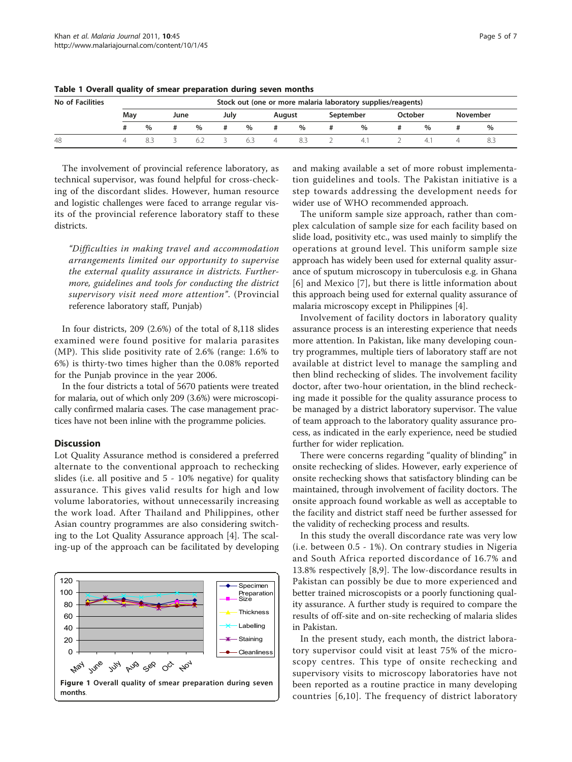| No of Facilities | Stock out (one or more malaria laboratory supplies/reagents) |      |      |      |      |      |        |      |           |   |         |      |          |               |  |
|------------------|--------------------------------------------------------------|------|------|------|------|------|--------|------|-----------|---|---------|------|----------|---------------|--|
|                  | May                                                          |      | June |      | July |      | August |      | September |   | October |      | November |               |  |
|                  |                                                              | $\%$ |      | $\%$ |      | $\%$ | #      | $\%$ |           | % |         | $\%$ |          | $\frac{0}{0}$ |  |
| 48               |                                                              | 8.3  |      | 6.7  |      | 6.3  | 4      | 8.3  |           |   |         |      |          | 8.3           |  |

<span id="page-4-0"></span>Table 1 Overall quality of smear preparation during seven months

The involvement of provincial reference laboratory, as technical supervisor, was found helpful for cross-checking of the discordant slides. However, human resource and logistic challenges were faced to arrange regular visits of the provincial reference laboratory staff to these districts.

"Difficulties in making travel and accommodation arrangements limited our opportunity to supervise the external quality assurance in districts. Furthermore, guidelines and tools for conducting the district supervisory visit need more attention". (Provincial reference laboratory staff, Punjab)

In four districts, 209 (2.6%) of the total of 8,118 slides examined were found positive for malaria parasites (MP). This slide positivity rate of 2.6% (range: 1.6% to 6%) is thirty-two times higher than the 0.08% reported for the Punjab province in the year 2006.

In the four districts a total of 5670 patients were treated for malaria, out of which only 209 (3.6%) were microscopically confirmed malaria cases. The case management practices have not been inline with the programme policies.

#### **Discussion**

Lot Quality Assurance method is considered a preferred alternate to the conventional approach to rechecking slides (i.e. all positive and 5 - 10% negative) for quality assurance. This gives valid results for high and low volume laboratories, without unnecessarily increasing the work load. After Thailand and Philippines, other Asian country programmes are also considering switching to the Lot Quality Assurance approach [\[4\]](#page-6-0). The scaling-up of the approach can be facilitated by developing



and making available a set of more robust implementation guidelines and tools. The Pakistan initiative is a step towards addressing the development needs for wider use of WHO recommended approach.

The uniform sample size approach, rather than complex calculation of sample size for each facility based on slide load, positivity etc., was used mainly to simplify the operations at ground level. This uniform sample size approach has widely been used for external quality assurance of sputum microscopy in tuberculosis e.g. in Ghana [[6](#page-6-0)] and Mexico [[7](#page-6-0)], but there is little information about this approach being used for external quality assurance of malaria microscopy except in Philippines [\[4](#page-6-0)].

Involvement of facility doctors in laboratory quality assurance process is an interesting experience that needs more attention. In Pakistan, like many developing country programmes, multiple tiers of laboratory staff are not available at district level to manage the sampling and then blind rechecking of slides. The involvement facility doctor, after two-hour orientation, in the blind rechecking made it possible for the quality assurance process to be managed by a district laboratory supervisor. The value of team approach to the laboratory quality assurance process, as indicated in the early experience, need be studied further for wider replication.

There were concerns regarding "quality of blinding" in onsite rechecking of slides. However, early experience of onsite rechecking shows that satisfactory blinding can be maintained, through involvement of facility doctors. The onsite approach found workable as well as acceptable to the facility and district staff need be further assessed for the validity of rechecking process and results.

In this study the overall discordance rate was very low (i.e. between 0.5 - 1%). On contrary studies in Nigeria and South Africa reported discordance of 16.7% and 13.8% respectively [[8,9\]](#page-6-0). The low-discordance results in Pakistan can possibly be due to more experienced and better trained microscopists or a poorly functioning quality assurance. A further study is required to compare the results of off-site and on-site rechecking of malaria slides in Pakistan.

In the present study, each month, the district laboratory supervisor could visit at least 75% of the microscopy centres. This type of onsite rechecking and supervisory visits to microscopy laboratories have not been reported as a routine practice in many developing countries [\[6,10\]](#page-6-0). The frequency of district laboratory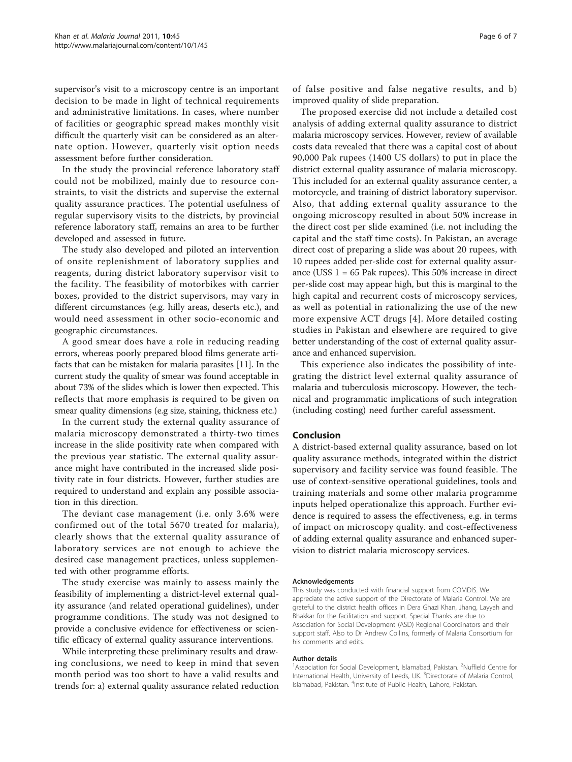supervisor's visit to a microscopy centre is an important decision to be made in light of technical requirements and administrative limitations. In cases, where number of facilities or geographic spread makes monthly visit difficult the quarterly visit can be considered as an alternate option. However, quarterly visit option needs assessment before further consideration.

In the study the provincial reference laboratory staff could not be mobilized, mainly due to resource constraints, to visit the districts and supervise the external quality assurance practices. The potential usefulness of regular supervisory visits to the districts, by provincial reference laboratory staff, remains an area to be further developed and assessed in future.

The study also developed and piloted an intervention of onsite replenishment of laboratory supplies and reagents, during district laboratory supervisor visit to the facility. The feasibility of motorbikes with carrier boxes, provided to the district supervisors, may vary in different circumstances (e.g. hilly areas, deserts etc.), and would need assessment in other socio-economic and geographic circumstances.

A good smear does have a role in reducing reading errors, whereas poorly prepared blood films generate artifacts that can be mistaken for malaria parasites [\[11\]](#page-6-0). In the current study the quality of smear was found acceptable in about 73% of the slides which is lower then expected. This reflects that more emphasis is required to be given on smear quality dimensions (e.g size, staining, thickness etc.)

In the current study the external quality assurance of malaria microscopy demonstrated a thirty-two times increase in the slide positivity rate when compared with the previous year statistic. The external quality assurance might have contributed in the increased slide positivity rate in four districts. However, further studies are required to understand and explain any possible association in this direction.

The deviant case management (i.e. only 3.6% were confirmed out of the total 5670 treated for malaria), clearly shows that the external quality assurance of laboratory services are not enough to achieve the desired case management practices, unless supplemented with other programme efforts.

The study exercise was mainly to assess mainly the feasibility of implementing a district-level external quality assurance (and related operational guidelines), under programme conditions. The study was not designed to provide a conclusive evidence for effectiveness or scientific efficacy of external quality assurance interventions.

While interpreting these preliminary results and drawing conclusions, we need to keep in mind that seven month period was too short to have a valid results and trends for: a) external quality assurance related reduction

of false positive and false negative results, and b) improved quality of slide preparation.

The proposed exercise did not include a detailed cost analysis of adding external quality assurance to district malaria microscopy services. However, review of available costs data revealed that there was a capital cost of about 90,000 Pak rupees (1400 US dollars) to put in place the district external quality assurance of malaria microscopy. This included for an external quality assurance center, a motorcycle, and training of district laboratory supervisor. Also, that adding external quality assurance to the ongoing microscopy resulted in about 50% increase in the direct cost per slide examined (i.e. not including the capital and the staff time costs). In Pakistan, an average direct cost of preparing a slide was about 20 rupees, with 10 rupees added per-slide cost for external quality assurance (US\$  $1 = 65$  Pak rupees). This 50% increase in direct per-slide cost may appear high, but this is marginal to the high capital and recurrent costs of microscopy services, as well as potential in rationalizing the use of the new more expensive ACT drugs [[4](#page-6-0)]. More detailed costing studies in Pakistan and elsewhere are required to give better understanding of the cost of external quality assurance and enhanced supervision.

This experience also indicates the possibility of integrating the district level external quality assurance of malaria and tuberculosis microscopy. However, the technical and programmatic implications of such integration (including costing) need further careful assessment.

# Conclusion

A district-based external quality assurance, based on lot quality assurance methods, integrated within the district supervisory and facility service was found feasible. The use of context-sensitive operational guidelines, tools and training materials and some other malaria programme inputs helped operationalize this approach. Further evidence is required to assess the effectiveness, e.g. in terms of impact on microscopy quality. and cost-effectiveness of adding external quality assurance and enhanced supervision to district malaria microscopy services.

#### Acknowledgements

This study was conducted with financial support from COMDIS. We appreciate the active support of the Directorate of Malaria Control. We are grateful to the district health offices in Dera Ghazi Khan, Jhang, Layyah and Bhakkar for the facilitation and support. Special Thanks are due to Association for Social Development (ASD) Regional Coordinators and their support staff. Also to Dr Andrew Collins, formerly of Malaria Consortium for his comments and edits.

#### Author details

<sup>1</sup> Association for Social Development, Islamabad, Pakistan. <sup>2</sup>Nuffield Centre for International Health, University of Leeds, UK.<sup>3</sup> Directorate of Malaria Control Islamabad, Pakistan. <sup>4</sup>Institute of Public Health, Lahore, Pakistan.